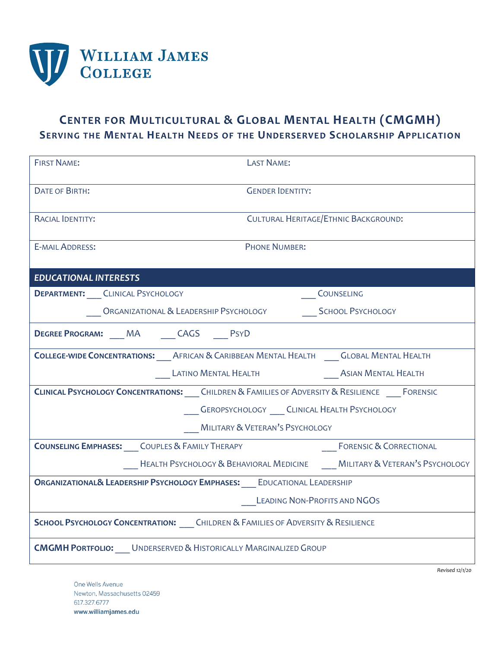

## **CENTER FOR MULTICULTURAL & GLOBAL MENTAL HEALTH (CMGMH) SERVING THE MENTAL HEALTH NEEDS OF THE UNDERSERVED SCHOLARSHIP APPLICATION**

| <b>FIRST NAME:</b>                                                                                   | <b>LAST NAME:</b>                                                                      |                                    |
|------------------------------------------------------------------------------------------------------|----------------------------------------------------------------------------------------|------------------------------------|
| <b>DATE OF BIRTH:</b>                                                                                | <b>GENDER IDENTITY:</b>                                                                |                                    |
| RACIAL IDENTITY:                                                                                     | CULTURAL HERITAGE/ETHNIC BACKGROUND:                                                   |                                    |
| <b>E-MAIL ADDRESS:</b>                                                                               | <b>PHONE NUMBER:</b>                                                                   |                                    |
| <b>EDUCATIONAL INTERESTS</b>                                                                         |                                                                                        |                                    |
| <b>DEPARTMENT:</b> CLINICAL PSYCHOLOGY                                                               |                                                                                        | COUNSELING                         |
|                                                                                                      |                                                                                        |                                    |
| <b>DEGREE PROGRAM:</b> MA CAGS PSYD                                                                  |                                                                                        |                                    |
|                                                                                                      | COLLEGE-WIDE CONCENTRATIONS: AFRICAN & CARIBBEAN MENTAL HEALTH GLOBAL MENTAL HEALTH    |                                    |
|                                                                                                      | LATINO MENTAL HEALTH AND ASIAN MENTAL HEALTH                                           |                                    |
| CLINICAL PSYCHOLOGY CONCENTRATIONS: ____ CHILDREN & FAMILIES OF ADVERSITY & RESILIENCE ____ FORENSIC |                                                                                        |                                    |
| CEROPSYCHOLOGY __ CLINICAL HEALTH PSYCHOLOGY                                                         |                                                                                        |                                    |
| MILITARY & VETERAN'S PSYCHOLOGY                                                                      |                                                                                        |                                    |
| <b>COUNSELING EMPHASES:</b> COUPLES & FAMILY THERAPY                                                 |                                                                                        | <b>FORENSIC &amp; CORRECTIONAL</b> |
|                                                                                                      | <b>HEALTH PSYCHOLOGY &amp; BEHAVIORAL MEDICINE MILITARY &amp; VETERAN'S PSYCHOLOGY</b> |                                    |
| ORGANIZATIONAL& LEADERSHIP PSYCHOLOGY EMPHASES: ___ EDUCATIONAL LEADERSHIP                           |                                                                                        |                                    |
| LEADING NON-PROFITS AND NGOS                                                                         |                                                                                        |                                    |
| <b>SCHOOL PSYCHOLOGY CONCENTRATION:</b> CHILDREN & FAMILIES OF ADVERSITY & RESILIENCE                |                                                                                        |                                    |
| <b>CMGMH PORTFOLIO:</b> UNDERSERVED & HISTORICALLY MARGINALIZED GROUP                                |                                                                                        |                                    |

One Wells Avenue Newton, Massachusetts 02459 617.327.6777 www.williamjames.edu